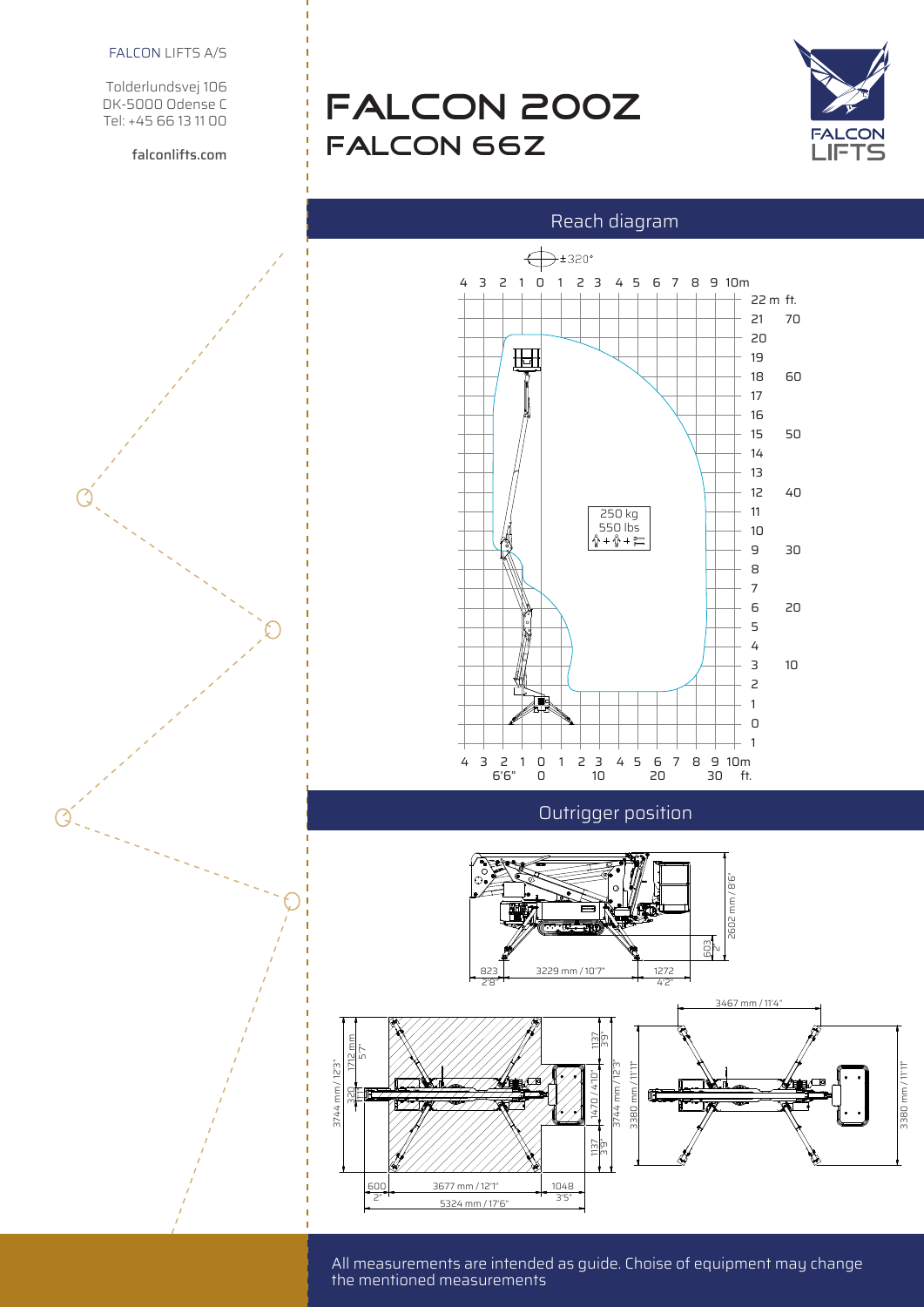Tolderlundsvej 106 DK-5000 Odense C Tel: +45 66 13 11 00

falconlifts.com

# FALCON 200Z FALCON 66Z



### Reach diagram



STABILIZZAZIONE MASSIMA

All measurements are intended as guide. Choise of equipment may change the mentioned measurements<br>
—

CARRO ALLARGATO

CARRO ALLARGATO

CARRO ALLARGATO